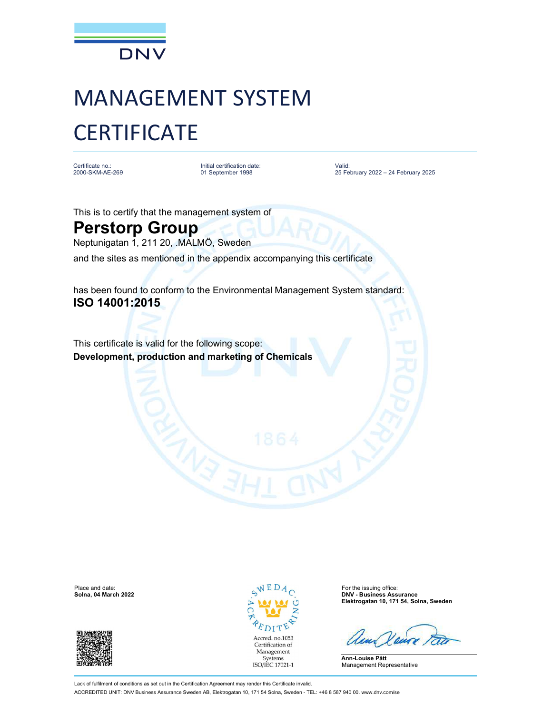

## MANAGEMENT SYSTEM **CERTIFICATE**

Certificate no.:<br>2000-SKM-AE-269

2000-SKM-AE-269 01 September 1998 Initial certification date: Valid:

Valid: 25 February 2022 – 24 February 2025

This is to certify that the management system of

## Perstorp Group

Neptunigatan 1, 211 20, .MALMÖ, Sweden

and the sites as mentioned in the appendix accompanying this certificate

has been found to conform to the Environmental Management System standard: ISO 14001:2015

This certificate is valid for the following scope: Development, production and marketing of Chemicals





**DNV - Business Assurance** Elektrogatan 10, 171 54, Solna, Sweden

Ann-Louise Pått Management Representative

Lack of fulfilment of conditions as set out in the Certification Agreement may render this Certificate invalid. ACCREDITED UNIT: DNV Business Assurance Sweden AB, Elektrogatan 10, 171 54 Solna, Sweden - TEL: +46 8 587 940 00. www.dnv.com/se